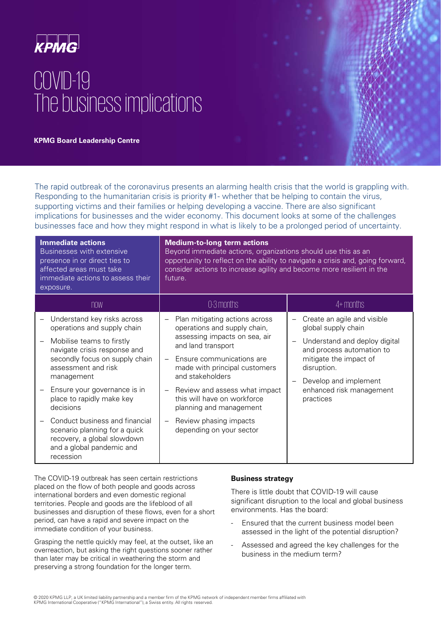

# COVID-19 The business implications

**KPMG Board Leadership Centre** 

The rapid outbreak of the coronavirus presents an alarming health crisis that the world is grappling with. Responding to the humanitarian crisis is priority #1- whether that be helping to contain the virus, supporting victims and their families or helping developing a vaccine. There are also significant implications for businesses and the wider economy. This document looks at some of the challenges businesses face and how they might respond in what is likely to be a prolonged period of uncertainty.

| <b>Immediate actions</b><br>Businesses with extensive<br>presence in or direct ties to<br>affected areas must take<br>immediate actions to assess their<br>exposure.                                                                                                     | <b>Medium-to-long term actions</b><br>Beyond immediate actions, organizations should use this as an<br>opportunity to reflect on the ability to navigate a crisis and, going forward,<br>consider actions to increase agility and become more resilient in the<br>future.                          |                                                                                                                                                                                                                             |
|--------------------------------------------------------------------------------------------------------------------------------------------------------------------------------------------------------------------------------------------------------------------------|----------------------------------------------------------------------------------------------------------------------------------------------------------------------------------------------------------------------------------------------------------------------------------------------------|-----------------------------------------------------------------------------------------------------------------------------------------------------------------------------------------------------------------------------|
| now                                                                                                                                                                                                                                                                      | 0-3 months                                                                                                                                                                                                                                                                                         | 4+ months                                                                                                                                                                                                                   |
| Understand key risks across<br>operations and supply chain<br>Mobilise teams to firstly<br>navigate crisis response and<br>secondly focus on supply chain<br>assessment and risk<br>management<br>Ensure your governance is in<br>place to rapidly make key<br>decisions | Plan mitigating actions across<br>operations and supply chain,<br>assessing impacts on sea, air<br>and land transport<br>Ensure communications are<br>made with principal customers<br>and stakeholders<br>Review and assess what impact<br>this will have on workforce<br>planning and management | Create an agile and visible<br>global supply chain<br>Understand and deploy digital<br>and process automation to<br>mitigate the impact of<br>disruption.<br>Develop and implement<br>enhanced risk management<br>practices |
| Conduct business and financial<br>scenario planning for a quick<br>recovery, a global slowdown<br>and a global pandemic and<br>recession                                                                                                                                 | Review phasing impacts<br>depending on your sector                                                                                                                                                                                                                                                 |                                                                                                                                                                                                                             |

The COVID-19 outbreak has seen certain restrictions placed on the flow of both people and goods across international borders and even domestic regional territories. People and goods are the lifeblood of all businesses and disruption of these flows, even for a short period, can have a rapid and severe impact on the immediate condition of your business.

Grasping the nettle quickly may feel, at the outset, like an overreaction, but asking the right questions sooner rather than later may be critical in weathering the storm and preserving a strong foundation for the longer term.

# **Business strategy**

There is little doubt that COVID-19 will cause significant disruption to the local and global business environments. Has the board:

- Ensured that the current business model been assessed in the light of the potential disruption?
- Assessed and agreed the key challenges for the business in the medium term?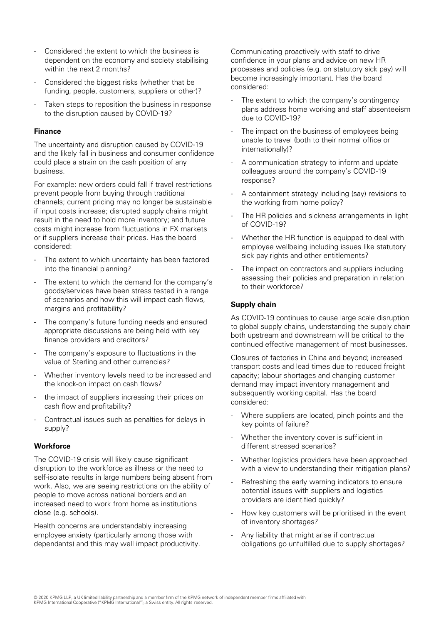- Considered the extent to which the business is dependent on the economy and society stabilising within the next 2 months?
- Considered the biggest risks (whether that be funding, people, customers, suppliers or other)?
- Taken steps to reposition the business in response to the disruption caused by COVID-19?

#### **Finance**

The uncertainty and disruption caused by COVID-19 and the likely fall in business and consumer confidence could place a strain on the cash position of any business.

For example: new orders could fall if travel restrictions prevent people from buying through traditional channels; current pricing may no longer be sustainable if input costs increase; disrupted supply chains might result in the need to hold more inventory; and future costs might increase from fluctuations in FX markets or if suppliers increase their prices. Has the board considered:

- The extent to which uncertainty has been factored into the financial planning?
- The extent to which the demand for the company's goods/services have been stress tested in a range of scenarios and how this will impact cash flows, margins and profitability?
- The company's future funding needs and ensured appropriate discussions are being held with key finance providers and creditors?
- The company's exposure to fluctuations in the value of Sterling and other currencies?
- Whether inventory levels need to be increased and the knock-on impact on cash flows?
- the impact of suppliers increasing their prices on cash flow and profitability?
- Contractual issues such as penalties for delays in supply?

# **Workforce**

The COVID-19 crisis will likely cause significant disruption to the workforce as illness or the need to self-isolate results in large numbers being absent from work. Also, we are seeing restrictions on the ability of people to move across national borders and an increased need to work from home as institutions close (e.g. schools).

Health concerns are understandably increasing employee anxiety (particularly among those with dependants) and this may well impact productivity. Communicating proactively with staff to drive confidence in your plans and advice on new HR processes and policies (e.g. on statutory sick pay) will become increasingly important. Has the board considered:

- The extent to which the company's contingency plans address home working and staff absenteeism due to COVID-19?
- The impact on the business of employees being unable to travel (both to their normal office or internationally)?
- A communication strategy to inform and update colleagues around the company's COVID-19 response?
- A containment strategy including (say) revisions to the working from home policy?
- The HR policies and sickness arrangements in light of COVID-19?
- Whether the HR function is equipped to deal with employee wellbeing including issues like statutory sick pay rights and other entitlements?
- The impact on contractors and suppliers including assessing their policies and preparation in relation to their workforce?

#### **Supply chain**

As COVID-19 continues to cause large scale disruption to global supply chains, understanding the supply chain both upstream and downstream will be critical to the continued effective management of most businesses.

Closures of factories in China and beyond; increased transport costs and lead times due to reduced freight capacity; labour shortages and changing customer demand may impact inventory management and subsequently working capital. Has the board considered:

- Where suppliers are located, pinch points and the key points of failure?
- Whether the inventory cover is sufficient in different stressed scenarios?
- Whether logistics providers have been approached with a view to understanding their mitigation plans?
- Refreshing the early warning indicators to ensure potential issues with suppliers and logistics providers are identified quickly?
- How key customers will be prioritised in the event of inventory shortages?
- Any liability that might arise if contractual obligations go unfulfilled due to supply shortages?